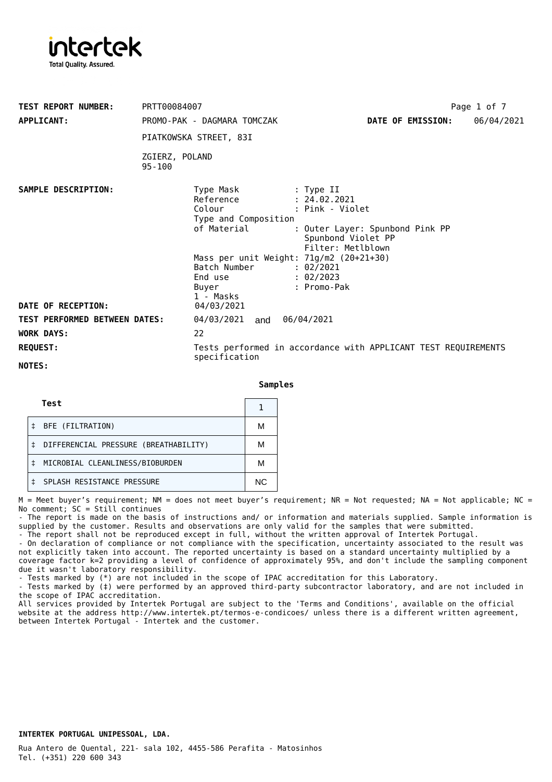

| <b>TEST REPORT NUMBER:</b><br><b>APPLICANT:</b> | PRTT00084007<br>PROMO-PAK - DAGMARA TOMCZAK<br>PIATKOWSKA STREET, 83I                                                                                                                                                                                                                                | Page 1 of 7<br>DATE OF EMISSION:<br>06/04/2021                                                                                                         |
|-------------------------------------------------|------------------------------------------------------------------------------------------------------------------------------------------------------------------------------------------------------------------------------------------------------------------------------------------------------|--------------------------------------------------------------------------------------------------------------------------------------------------------|
|                                                 | ZGIERZ, POLAND<br>$95 - 100$                                                                                                                                                                                                                                                                         |                                                                                                                                                        |
| SAMPLE DESCRIPTION:<br>DATE OF RECEPTION:       | Type Mask<br>Reference<br>Colour<br>Type and Composition<br>of Material<br>Mass per unit Weight: 71g/m2 (20+21+30)<br>Batch Number : 02/2021<br>End use the second set of the set of the set of the set of the set of the set of the set of the set of the set o<br>Buyer<br>1 - Masks<br>04/03/2021 | : Type II<br>: 24.02.2021<br>: Pink - Violet<br>: Outer Layer: Spunbond Pink PP<br>Spunbond Violet PP<br>Filter: Metlblown<br>: 02/2023<br>: Promo-Pak |
| <b>TEST PERFORMED BETWEEN DATES:</b>            | 04/03/2021 and 06/04/2021                                                                                                                                                                                                                                                                            |                                                                                                                                                        |
| <b>WORK DAYS:</b>                               | 22                                                                                                                                                                                                                                                                                                   |                                                                                                                                                        |
| <b>REQUEST:</b><br>NOTES:                       | specification                                                                                                                                                                                                                                                                                        | Tests performed in accordance with APPLICANT TEST REQUIREMENTS                                                                                         |

**Samples**

| Test                                  |     |
|---------------------------------------|-----|
| BFE (FILTRATION)                      | М   |
| DIFFERENCIAL PRESSURE (BREATHABILITY) | М   |
| MICROBIAL CLEANLINESS/BIOBURDEN       | М   |
| SPLASH RESISTANCE PRESSURE            | NC. |

 $M =$  Meet buyer's requirement; NM = does not meet buyer's requirement; NR = Not requested; NA = Not applicable; NC = No comment; SC = Still continues

- The report is made on the basis of instructions and/ or information and materials supplied. Sample information is supplied by the customer. Results and observations are only valid for the samples that were submitted. - The report shall not be reproduced except in full, without the written approval of Intertek Portugal.

- On declaration of compliance or not compliance with the specification, uncertainty associated to the result was not explicitly taken into account. The reported uncertainty is based on a standard uncertainty multiplied by a coverage factor k=2 providing a level of confidence of approximately 95%, and don't include the sampling component due it wasn't laboratory responsibility.

Tests marked by (\*) are not included in the scope of IPAC accreditation for this Laboratory.

- Tests marked by (‡) were performed by an approved third-party subcontractor laboratory, and are not included in the scope of IPAC accreditation.

All services provided by Intertek Portugal are subject to the 'Terms and Conditions', available on the official website at the address <http://www.intertek.pt/termos-e-condicoes/> unless there is a different written agreement, between Intertek Portugal - Intertek and the customer.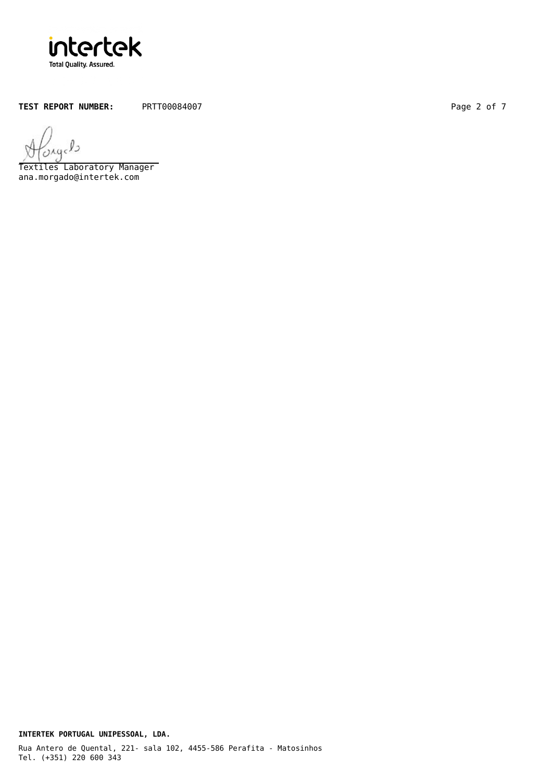

TEST REPORT NUMBER: PRTT00084007 Page 2 of 7

 $O\lambda$ q

Textiles Laboratory Manager ana.morgado@intertek.com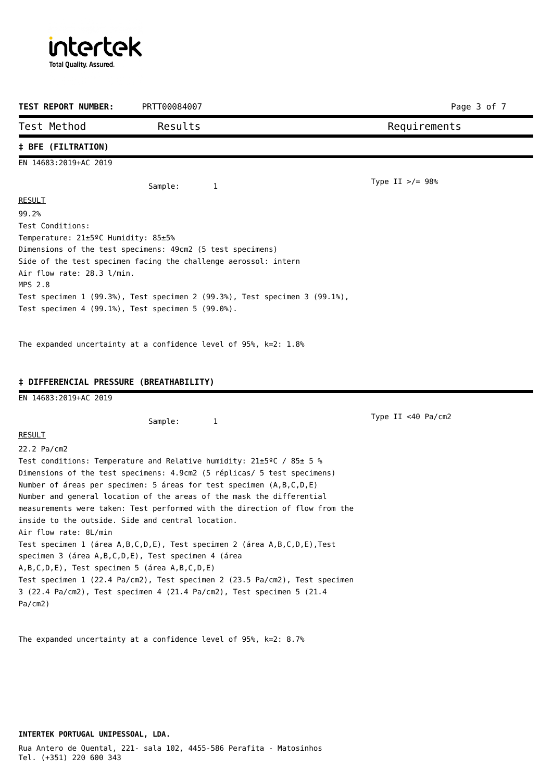intertek **Total Quality. Assured.** 

| TEST REPORT NUMBER:                                                        | PRTT00084007                                                                                                                                                                                                                                                                                                        | Page 3 of 7          |
|----------------------------------------------------------------------------|---------------------------------------------------------------------------------------------------------------------------------------------------------------------------------------------------------------------------------------------------------------------------------------------------------------------|----------------------|
| Test Method                                                                | Results                                                                                                                                                                                                                                                                                                             | Requirements         |
| <b>‡ BFE (FILTRATION)</b>                                                  |                                                                                                                                                                                                                                                                                                                     |                      |
| EN 14683:2019+AC 2019                                                      |                                                                                                                                                                                                                                                                                                                     |                      |
|                                                                            | Sample:<br>1                                                                                                                                                                                                                                                                                                        | Type II $>/- 98$ %   |
| <b>RESULT</b>                                                              |                                                                                                                                                                                                                                                                                                                     |                      |
| 99.2%                                                                      |                                                                                                                                                                                                                                                                                                                     |                      |
| Test Conditions:                                                           |                                                                                                                                                                                                                                                                                                                     |                      |
| Temperature: 21±5 <sup>o</sup> C Humidity: 85±5%                           |                                                                                                                                                                                                                                                                                                                     |                      |
|                                                                            | Dimensions of the test specimens: 49cm2 (5 test specimens)                                                                                                                                                                                                                                                          |                      |
|                                                                            | Side of the test specimen facing the challenge aerossol: intern                                                                                                                                                                                                                                                     |                      |
| Air flow rate: 28.3 l/min.                                                 |                                                                                                                                                                                                                                                                                                                     |                      |
| MPS 2.8                                                                    |                                                                                                                                                                                                                                                                                                                     |                      |
| Test specimen 4 $(99.1%)$ , Test specimen 5 $(99.0%)$ .                    | Test specimen 1 (99.3%), Test specimen 2 (99.3%), Test specimen 3 (99.1%),                                                                                                                                                                                                                                          |                      |
|                                                                            |                                                                                                                                                                                                                                                                                                                     |                      |
| <b>‡ DIFFERENCIAL PRESSURE (BREATHABILITY)</b>                             |                                                                                                                                                                                                                                                                                                                     |                      |
| EN 14683:2019+AC 2019                                                      |                                                                                                                                                                                                                                                                                                                     |                      |
|                                                                            | Sample:<br>1                                                                                                                                                                                                                                                                                                        | Type II <40 $Pa/cm2$ |
| <b>RESULT</b>                                                              |                                                                                                                                                                                                                                                                                                                     |                      |
| 22.2 Pa/cm2                                                                |                                                                                                                                                                                                                                                                                                                     |                      |
|                                                                            | Test conditions: Temperature and Relative humidity: $21\pm5\degree$ C / 85 $\pm$ 5 %<br>Dimensions of the test specimens: 4.9cm2 (5 réplicas/ 5 test specimens)<br>Number of áreas per specimen: 5 áreas for test specimen (A, B, C, D, E)<br>Number and general location of the areas of the mask the differential |                      |
| inside to the outside. Side and central location.<br>Air flow rate: 8L/min | measurements were taken: Test performed with the direction of flow from the                                                                                                                                                                                                                                         |                      |

The expanded uncertainty at a confidence level of 95%, k=2: 8.7%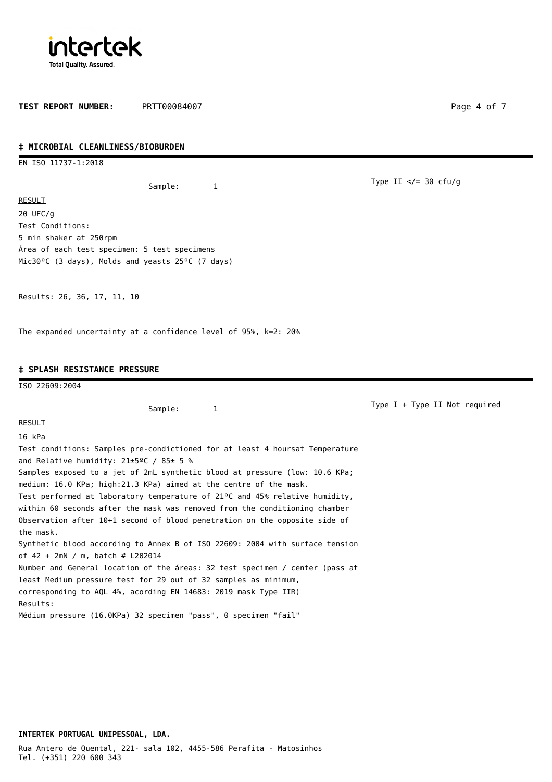

**TEST REPORT NUMBER:** PRTT00084007 Page 4 of 7

Type II  $\lt/= 30$  cfu/g

## **‡ MICROBIAL CLEANLINESS/BIOBURDEN**

EN ISO 11737-1:2018

Sample: 1

**RESULT** 20 UFC/g Test Conditions: 5 min shaker at 250rpm Área of each test specimen: 5 test specimens Mic30ºC (3 days), Molds and yeasts 25ºC (7 days)

Results: 26, 36, 17, 11, 10

The expanded uncertainty at a confidence level of 95%, k=2: 20%

## **‡ SPLASH RESISTANCE PRESSURE**

ISO 22609:2004 Sample: 1 RESULT 16 kPa Test conditions: Samples pre-condictioned for at least 4 hoursat Temperature and Relative humidity: 21±5ºC / 85± 5 % Samples exposed to a jet of 2mL synthetic blood at pressure (low: 10.6 KPa; medium: 16.0 KPa; high:21.3 KPa) aimed at the centre of the mask. Test performed at laboratory temperature of 21ºC and 45% relative humidity, within 60 seconds after the mask was removed from the conditioning chamber Observation after 10+1 second of blood penetration on the opposite side of the mask. Synthetic blood according to Annex B of ISO 22609: 2004 with surface tension of 42 + 2mN / m, batch # L202014 Number and General location of the áreas: 32 test specimen / center (pass at least Medium pressure test for 29 out of 32 samples as minimum, corresponding to AQL 4%, acording EN 14683: 2019 mask Type IIR) Results: Médium pressure (16.0KPa) 32 specimen "pass", 0 specimen "fail" Type I + Type II Not required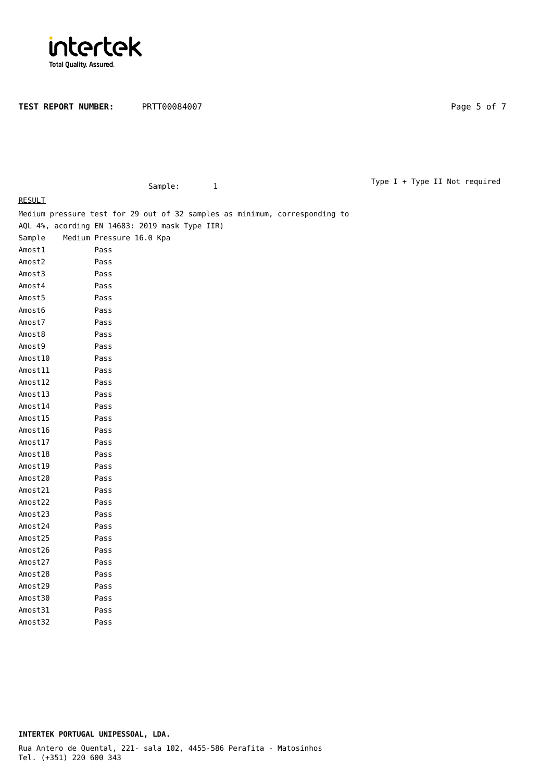

TEST REPORT NUMBER: PRTT00084007 Page 5 of 7

Sample: 1

Type I + Type II Not required

| <b>RESULT</b> |                                                                            |
|---------------|----------------------------------------------------------------------------|
|               | Medium pressure test for 29 out of 32 samples as minimum, corresponding to |
|               | AQL 4%, acording EN 14683: 2019 mask Type IIR)                             |
| Sample        | Medium Pressure 16.0 Kpa                                                   |
| Amost1        | Pass                                                                       |
| Amost2        | Pass                                                                       |
| Amost3        | Pass                                                                       |
| Amost4        | Pass                                                                       |
| Amost5        | Pass                                                                       |
| Amost6        | Pass                                                                       |
| Amost7        | Pass                                                                       |
| Amost8        | Pass                                                                       |
| Amost9        | Pass                                                                       |
| Amost10       | Pass                                                                       |
| Amost11       | Pass                                                                       |
| Amost12       | Pass                                                                       |
| Amost13       | Pass                                                                       |
| Amost14       | Pass                                                                       |
| Amost15       | Pass                                                                       |
| Amost16       | Pass                                                                       |
| Amost17       | Pass                                                                       |
| Amost18       | Pass                                                                       |
| Amost19       | Pass                                                                       |
| Amost20       | Pass                                                                       |
| Amost21       | Pass                                                                       |
| Amost22       | Pass                                                                       |
| Amost23       | Pass                                                                       |
| Amost24       | Pass                                                                       |
| Amost25       | Pass                                                                       |
| Amost26       | Pass                                                                       |
| Amost27       | Pass                                                                       |
| Amost28       | Pass                                                                       |
| Amost29       | Pass                                                                       |
| Amost30       | Pass                                                                       |
| Amost31       | Pass                                                                       |
| Amost32       | Pass                                                                       |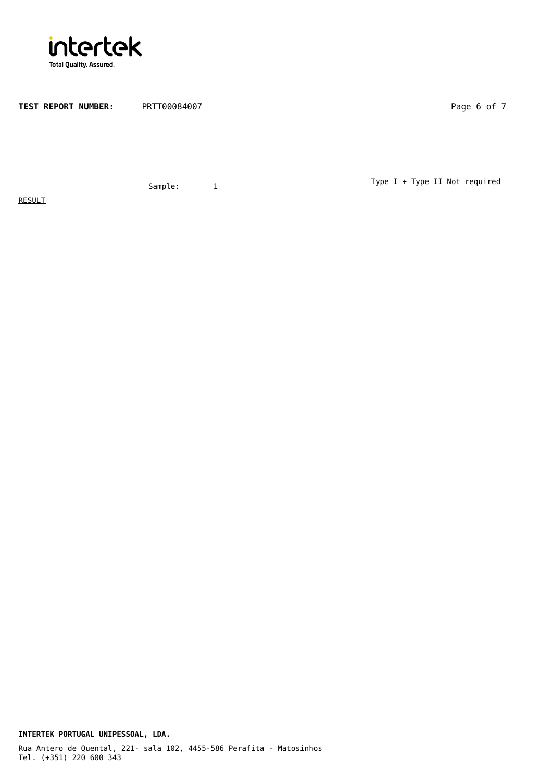

TEST REPORT NUMBER: PRTT00084007 Page 6 of 7

Sample: 1

Type I + Type II Not required

**RESULT** 

Tel. (+351) 220 600 343 **INTERTEK PORTUGAL UNIPESSOAL, LDA.** Rua Antero de Quental, 221- sala 102, 4455-586 Perafita - Matosinhos